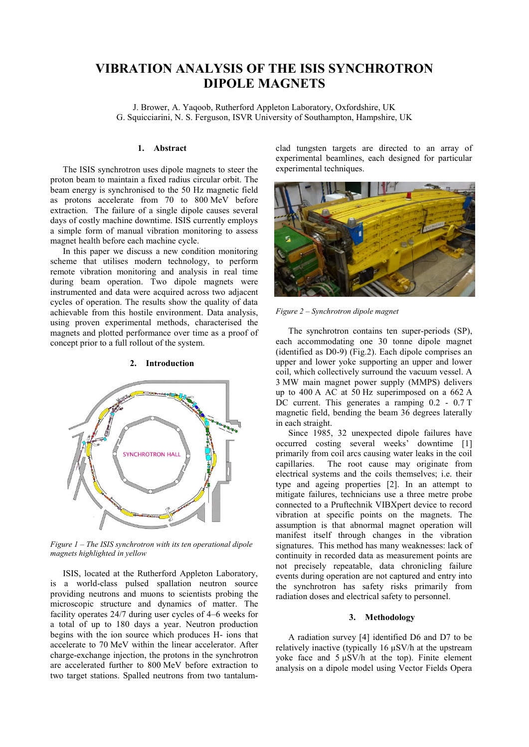# **VIBRATION ANALYSIS OF THE ISIS SYNCHROTRON DIPOLE MAGNETS**

J. Brower, A. Yaqoob, Rutherford Appleton Laboratory, Oxfordshire, UK G. Squicciarini, N. S. Ferguson, ISVR University of Southampton, Hampshire, UK

### **1. Abstract**

The ISIS synchrotron uses dipole magnets to steer the proton beam to maintain a fixed radius circular orbit. The beam energy is synchronised to the 50 Hz magnetic field as protons accelerate from 70 to 800 MeV before extraction. The failure of a single dipole causes several days of costly machine downtime. ISIS currently employs a simple form of manual vibration monitoring to assess magnet health before each machine cycle.

In this paper we discuss a new condition monitoring scheme that utilises modern technology, to perform remote vibration monitoring and analysis in real time during beam operation. Two dipole magnets were instrumented and data were acquired across two adjacent cycles of operation. The results show the quality of data achievable from this hostile environment. Data analysis, using proven experimental methods, characterised the magnets and plotted performance over time as a proof of concept prior to a full rollout of the system.

## **2. Introduction**



*Figure 1 – The ISIS synchrotron with its ten operational dipole magnets highlighted in yellow*

ISIS, located at the Rutherford Appleton Laboratory, is a world-class pulsed spallation neutron source providing neutrons and muons to scientists probing the microscopic structure and dynamics of matter. The facility operates 24/7 during user cycles of 4–6 weeks for a total of up to 180 days a year. Neutron production begins with the ion source which produces H- ions that accelerate to 70 MeV within the linear accelerator. After charge-exchange injection, the protons in the synchrotron are accelerated further to 800 MeV before extraction to two target stations. Spalled neutrons from two tantalumclad tungsten targets are directed to an array of experimental beamlines, each designed for particular experimental techniques.



*Figure 2 – Synchrotron dipole magnet*

The synchrotron contains ten super-periods (SP), each accommodating one 30 tonne dipole magnet (identified as D0-9) (Fig.2). Each dipole comprises an upper and lower yoke supporting an upper and lower coil, which collectively surround the vacuum vessel. A 3 MW main magnet power supply (MMPS) delivers up to 400 A AC at 50 Hz superimposed on a 662 A DC current. This generates a ramping  $0.2 - 0.7$  T magnetic field, bending the beam 36 degrees laterally in each straight.

Since 1985, 32 unexpected dipole failures have occurred costing several weeks' downtime [1] primarily from coil arcs causing water leaks in the coil capillaries. The root cause may originate from electrical systems and the coils themselves; i.e. their type and ageing properties [2]. In an attempt to mitigate failures, technicians use a three metre probe connected to a Pruftechnik VIBXpert device to record vibration at specific points on the magnets. The assumption is that abnormal magnet operation will manifest itself through changes in the vibration signatures. This method has many weaknesses: lack of continuity in recorded data as measurement points are not precisely repeatable, data chronicling failure events during operation are not captured and entry into the synchrotron has safety risks primarily from radiation doses and electrical safety to personnel.

## **3. Methodology**

A radiation survey [4] identified D6 and D7 to be relatively inactive (typically 16 µSV/h at the upstream yoke face and 5 µSV/h at the top). Finite element analysis on a dipole model using Vector Fields Opera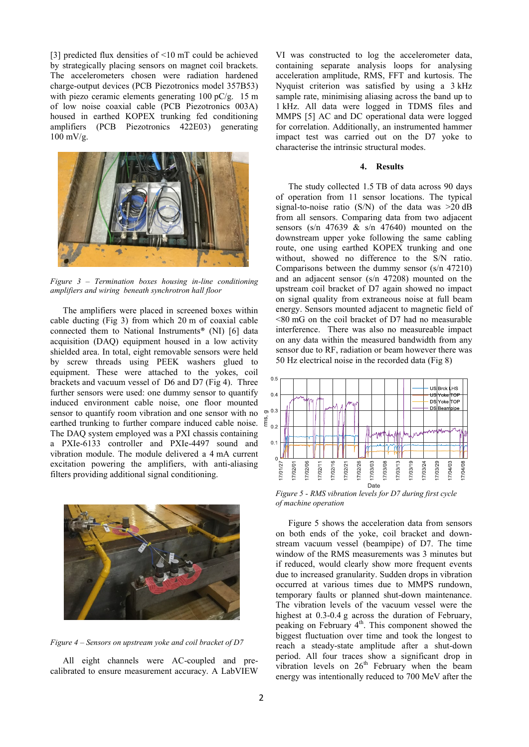[3] predicted flux densities of <10 mT could be achieved by strategically placing sensors on magnet coil brackets. The accelerometers chosen were radiation hardened charge-output devices (PCB Piezotronics model 357B53) with piezo ceramic elements generating 100 pC/g. 15 m of low noise coaxial cable (PCB Piezotronics 003A) housed in earthed KOPEX trunking fed conditioning amplifiers (PCB Piezotronics 422E03) generating 100 mV/g.



*Figure 3 – Termination boxes housing in-line conditioning amplifiers and wiring beneath synchrotron hall floor*

The amplifiers were placed in screened boxes within cable ducting (Fig 3) from which 20 m of coaxial cable connected them to National Instruments® (NI) [6] data acquisition (DAQ) equipment housed in a low activity shielded area. In total, eight removable sensors were held by screw threads using PEEK washers glued to equipment. These were attached to the yokes, coil brackets and vacuum vessel of D6 and D7 (Fig 4). Three further sensors were used: one dummy sensor to quantify induced environment cable noise, one floor mounted sensor to quantify room vibration and one sensor with no earthed trunking to further compare induced cable noise. The DAQ system employed was a PXI chassis containing a PXIe-6133 controller and PXIe-4497 sound and vibration module. The module delivered a 4 mA current excitation powering the amplifiers, with anti-aliasing filters providing additional signal conditioning.



*Figure 4 – Sensors on upstream yoke and coil bracket of D7*

All eight channels were AC-coupled and precalibrated to ensure measurement accuracy. A LabVIEW VI was constructed to log the accelerometer data, containing separate analysis loops for analysing acceleration amplitude, RMS, FFT and kurtosis. The Nyquist criterion was satisfied by using a 3 kHz sample rate, minimising aliasing across the band up to 1 kHz. All data were logged in TDMS files and MMPS [5] AC and DC operational data were logged for correlation. Additionally, an instrumented hammer impact test was carried out on the D7 yoke to characterise the intrinsic structural modes.

#### **4. Results**

The study collected 1.5 TB of data across 90 days of operation from 11 sensor locations. The typical signal-to-noise ratio (S/N) of the data was  $>20$  dB from all sensors. Comparing data from two adjacent sensors (s/n  $47639 \& s/n$  47640) mounted on the downstream upper yoke following the same cabling route, one using earthed KOPEX trunking and one without, showed no difference to the S/N ratio. Comparisons between the dummy sensor (s/n 47210) and an adjacent sensor (s/n 47208) mounted on the upstream coil bracket of D7 again showed no impact on signal quality from extraneous noise at full beam energy. Sensors mounted adjacent to magnetic field of <80 mG on the coil bracket of D7 had no measurable interference. There was also no measureable impact on any data within the measured bandwidth from any sensor due to RF, radiation or beam however there was 50 Hz electrical noise in the recorded data (Fig 8)



*of machine operation*

Figure 5 shows the acceleration data from sensors on both ends of the yoke, coil bracket and downstream vacuum vessel (beampipe) of D7. The time window of the RMS measurements was 3 minutes but if reduced, would clearly show more frequent events due to increased granularity. Sudden drops in vibration occurred at various times due to MMPS rundown, temporary faults or planned shut-down maintenance. The vibration levels of the vacuum vessel were the highest at 0.3-0.4 g across the duration of February, peaking on February 4<sup>th</sup>. This component showed the biggest fluctuation over time and took the longest to reach a steady-state amplitude after a shut-down period. All four traces show a significant drop in vibration levels on  $26<sup>th</sup>$  February when the beam energy was intentionally reduced to 700 MeV after the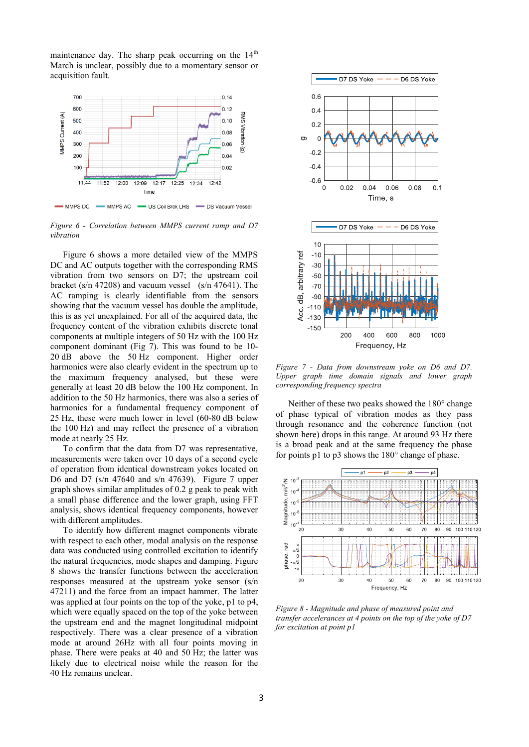maintenance day. The sharp peak occurring on the  $14<sup>th</sup>$ March is unclear, possibly due to a momentary sensor or acquisition fault.



*Figure 6 - Correlation between MMPS current ramp and D7 vibration*

Figure 6 shows a more detailed view of the MMPS DC and AC outputs together with the corresponding RMS vibration from two sensors on D7; the upstream coil bracket (s/n 47208) and vacuum vessel (s/n 47641). The AC ramping is clearly identifiable from the sensors showing that the vacuum vessel has double the amplitude, this is as yet unexplained. For all of the acquired data, the frequency content of the vibration exhibits discrete tonal components at multiple integers of 50 Hz with the 100 Hz component dominant (Fig 7). This was found to be 10- 20 dB above the 50 Hz component. Higher order harmonics were also clearly evident in the spectrum up to the maximum frequency analysed, but these were generally at least 20 dB below the 100 Hz component. In addition to the 50 Hz harmonics, there was also a series of harmonics for a fundamental frequency component of 25 Hz, these were much lower in level (60-80 dB below the 100 Hz) and may reflect the presence of a vibration mode at nearly 25 Hz.

To confirm that the data from D7 was representative, measurements were taken over 10 days of a second cycle of operation from identical downstream yokes located on D6 and D7 (s/n 47640 and s/n 47639). Figure 7 upper graph shows similar amplitudes of 0.2 g peak to peak with a small phase difference and the lower graph, using FFT analysis, shows identical frequency components, however with different amplitudes.

To identify how different magnet components vibrate with respect to each other, modal analysis on the response data was conducted using controlled excitation to identify the natural frequencies, mode shapes and damping. Figure 8 shows the transfer functions between the acceleration responses measured at the upstream yoke sensor (s/n 47211) and the force from an impact hammer. The latter was applied at four points on the top of the yoke, p1 to p4, which were equally spaced on the top of the yoke between the upstream end and the magnet longitudinal midpoint respectively. There was a clear presence of a vibration mode at around 26Hz with all four points moving in phase. There were peaks at 40 and 50 Hz; the latter was likely due to electrical noise while the reason for the 40 Hz remains unclear.



*Figure 7 - Data from downstream yoke on D6 and D7. Upper graph time domain signals and lower graph corresponding frequency spectra*

Neither of these two peaks showed the 180° change of phase typical of vibration modes as they pass through resonance and the coherence function (not shown here) drops in this range. At around 93 Hz there is a broad peak and at the same frequency the phase for points p1 to p3 shows the 180° change of phase.



*Figure 8 - Magnitude and phase of measured point and transfer accelerances at 4 points on the top of the yoke of D7 for excitation at point p1*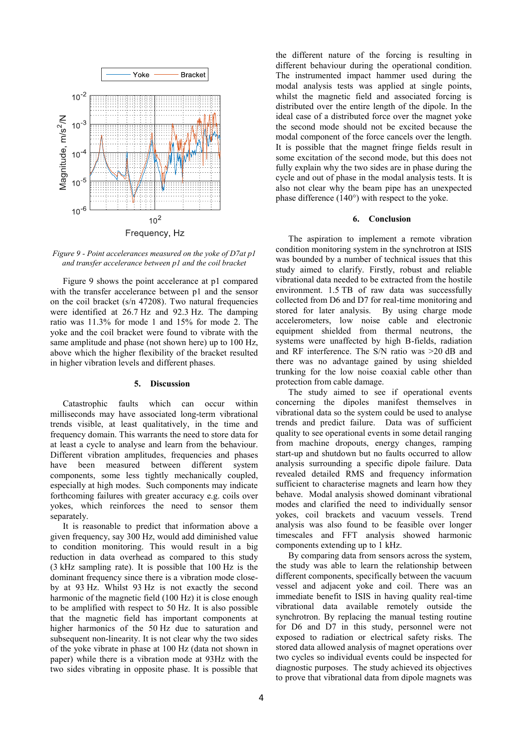

*Figure 9 - Point accelerances measured on the yoke of D7at p1 and transfer accelerance between p1 and the coil bracket*

Figure 9 shows the point accelerance at p1 compared with the transfer accelerance between p1 and the sensor on the coil bracket (s/n 47208). Two natural frequencies were identified at 26.7 Hz and 92.3 Hz. The damping ratio was 11.3% for mode 1 and 15% for mode 2. The yoke and the coil bracket were found to vibrate with the same amplitude and phase (not shown here) up to 100 Hz, above which the higher flexibility of the bracket resulted in higher vibration levels and different phases.

## **5. Discussion**

Catastrophic faults which can occur within milliseconds may have associated long-term vibrational trends visible, at least qualitatively, in the time and frequency domain. This warrants the need to store data for at least a cycle to analyse and learn from the behaviour. Different vibration amplitudes, frequencies and phases have been measured between different system components, some less tightly mechanically coupled, especially at high modes. Such components may indicate forthcoming failures with greater accuracy e.g. coils over yokes, which reinforces the need to sensor them separately.

It is reasonable to predict that information above a given frequency, say 300 Hz, would add diminished value to condition monitoring. This would result in a big reduction in data overhead as compared to this study (3 kHz sampling rate). It is possible that 100 Hz is the dominant frequency since there is a vibration mode closeby at 93 Hz. Whilst 93 Hz is not exactly the second harmonic of the magnetic field (100 Hz) it is close enough to be amplified with respect to 50 Hz. It is also possible that the magnetic field has important components at higher harmonics of the 50 Hz due to saturation and subsequent non-linearity. It is not clear why the two sides of the yoke vibrate in phase at 100 Hz (data not shown in paper) while there is a vibration mode at 93Hz with the two sides vibrating in opposite phase. It is possible that the different nature of the forcing is resulting in different behaviour during the operational condition. The instrumented impact hammer used during the modal analysis tests was applied at single points, whilst the magnetic field and associated forcing is distributed over the entire length of the dipole. In the ideal case of a distributed force over the magnet yoke the second mode should not be excited because the modal component of the force cancels over the length. It is possible that the magnet fringe fields result in some excitation of the second mode, but this does not fully explain why the two sides are in phase during the cycle and out of phase in the modal analysis tests. It is also not clear why the beam pipe has an unexpected phase difference (140°) with respect to the yoke.

#### **6. Conclusion**

The aspiration to implement a remote vibration condition monitoring system in the synchrotron at ISIS was bounded by a number of technical issues that this study aimed to clarify. Firstly, robust and reliable vibrational data needed to be extracted from the hostile environment. 1.5 TB of raw data was successfully collected from D6 and D7 for real-time monitoring and stored for later analysis. By using charge mode accelerometers, low noise cable and electronic equipment shielded from thermal neutrons, the systems were unaffected by high B-fields, radiation and RF interference. The S/N ratio was >20 dB and there was no advantage gained by using shielded trunking for the low noise coaxial cable other than protection from cable damage.

The study aimed to see if operational events concerning the dipoles manifest themselves in vibrational data so the system could be used to analyse trends and predict failure. Data was of sufficient quality to see operational events in some detail ranging from machine dropouts, energy changes, ramping start-up and shutdown but no faults occurred to allow analysis surrounding a specific dipole failure. Data revealed detailed RMS and frequency information sufficient to characterise magnets and learn how they behave. Modal analysis showed dominant vibrational modes and clarified the need to individually sensor yokes, coil brackets and vacuum vessels. Trend analysis was also found to be feasible over longer timescales and FFT analysis showed harmonic components extending up to 1 kHz.

By comparing data from sensors across the system, the study was able to learn the relationship between different components, specifically between the vacuum vessel and adjacent yoke and coil. There was an immediate benefit to ISIS in having quality real-time vibrational data available remotely outside the synchrotron. By replacing the manual testing routine for D6 and D7 in this study, personnel were not exposed to radiation or electrical safety risks. The stored data allowed analysis of magnet operations over two cycles so individual events could be inspected for diagnostic purposes. The study achieved its objectives to prove that vibrational data from dipole magnets was